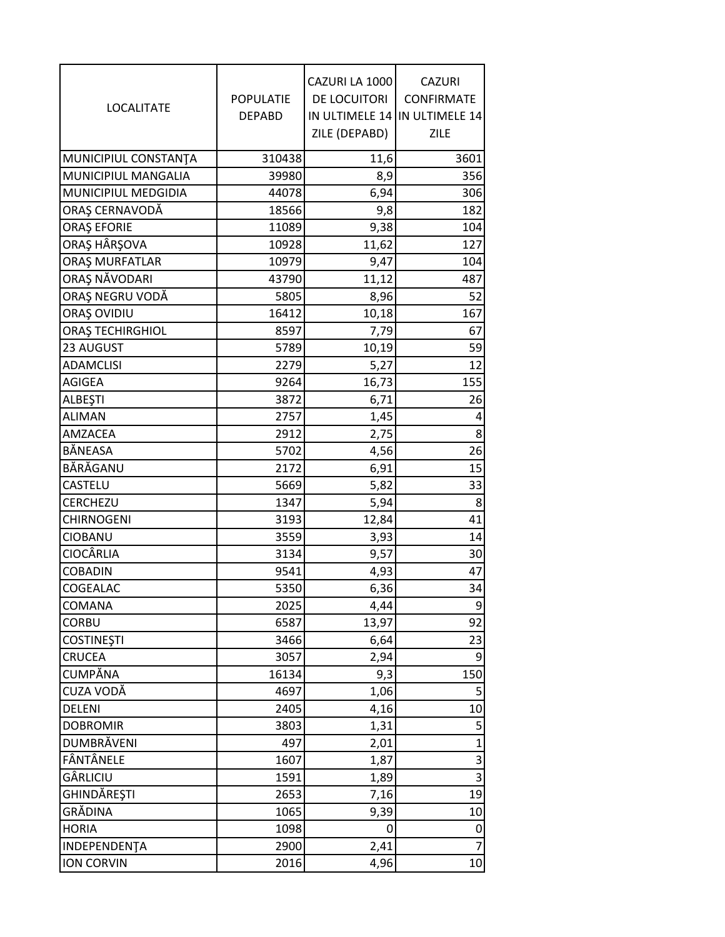| <b>LOCALITATE</b>               | POPULATIE<br><b>DEPABD</b> | CAZURI LA 1000<br>DE LOCUITORI<br>IN ULTIMELE 14<br>ZILE (DEPABD) | <b>CAZURI</b><br>CONFIRMATE<br>IN ULTIMELE 14<br>ZILE |
|---------------------------------|----------------------------|-------------------------------------------------------------------|-------------------------------------------------------|
|                                 |                            |                                                                   |                                                       |
| MUNICIPIUL CONSTANTA            | 310438                     | 11,6                                                              | 3601                                                  |
| MUNICIPIUL MANGALIA             | 39980                      | 8,9                                                               | 356                                                   |
| MUNICIPIUL MEDGIDIA             | 44078                      | 6,94                                                              | 306                                                   |
| ORAȘ CERNAVODĂ                  | 18566                      | 9,8                                                               | 182                                                   |
| <b>ORAȘ EFORIE</b>              | 11089                      | 9,38                                                              | 104                                                   |
| ORAŞ HÂRŞOVA                    | 10928                      | 11,62                                                             | 127                                                   |
| ORAȘ MURFATLAR<br>ORAȘ NĂVODARI | 10979                      | 9,47                                                              | 104                                                   |
| ORAȘ NEGRU VODĂ                 | 43790<br>5805              | 11,12                                                             | 487<br>52                                             |
| ORAȘ OVIDIU                     | 16412                      | 8,96                                                              | 167                                                   |
| <b>ORAȘ TECHIRGHIOL</b>         | 8597                       | 10,18<br>7,79                                                     | 67                                                    |
| 23 AUGUST                       | 5789                       | 10,19                                                             | 59                                                    |
| <b>ADAMCLISI</b>                | 2279                       | 5,27                                                              | 12                                                    |
| AGIGEA                          | 9264                       | 16,73                                                             | 155                                                   |
| <b>ALBEŞTI</b>                  | 3872                       | 6,71                                                              | 26                                                    |
| <b>ALIMAN</b>                   | 2757                       | 1,45                                                              | 4                                                     |
| AMZACEA                         | 2912                       | 2,75                                                              | 8                                                     |
| BĂNEASA                         | 5702                       | 4,56                                                              | 26                                                    |
| BĂRĂGANU                        | 2172                       | 6,91                                                              | 15                                                    |
| CASTELU                         | 5669                       | 5,82                                                              | 33                                                    |
| CERCHEZU                        | 1347                       | 5,94                                                              | 8                                                     |
| <b>CHIRNOGENI</b>               | 3193                       | 12,84                                                             | 41                                                    |
| <b>CIOBANU</b>                  | 3559                       | 3,93                                                              | 14                                                    |
| <b>CIOCÂRLIA</b>                | 3134                       | 9,57                                                              | 30                                                    |
| <b>COBADIN</b>                  | 9541                       | 4,93                                                              | 47                                                    |
| COGEALAC                        | 5350                       | 6,36                                                              | 34                                                    |
| COMANA                          | 2025                       | 4,44                                                              | 9                                                     |
| <b>CORBU</b>                    | 6587                       | 13,97                                                             | 92                                                    |
| <b>COSTINEȘTI</b>               | 3466                       | 6,64                                                              | 23                                                    |
| CRUCEA                          | 3057                       | 2,94                                                              | 9                                                     |
| CUMPĂNA                         | 16134                      | 9,3                                                               | 150                                                   |
| CUZA VODĂ                       | 4697                       | 1,06                                                              | 5                                                     |
| DELENI                          | 2405                       | 4,16                                                              | 10                                                    |
| <b>DOBROMIR</b>                 | 3803                       | 1,31                                                              | 5                                                     |
| DUMBRÄVENI                      | 497                        | 2,01                                                              | $\mathbf{1}$                                          |
| FÂNTÂNELE                       | 1607                       | 1,87                                                              | 3                                                     |
| GÂRLICIU                        | 1591                       | 1,89                                                              | 3                                                     |
| GHINDĂREȘTI                     | 2653                       | 7,16                                                              | 19                                                    |
| GRĂDINA                         | 1065                       | 9,39                                                              | 10                                                    |
| <b>HORIA</b>                    | 1098                       | 0                                                                 | 0                                                     |
| INDEPENDENTA                    | 2900                       | 2,41                                                              | $\overline{7}$                                        |
| ION CORVIN                      | 2016                       | 4,96                                                              | 10                                                    |